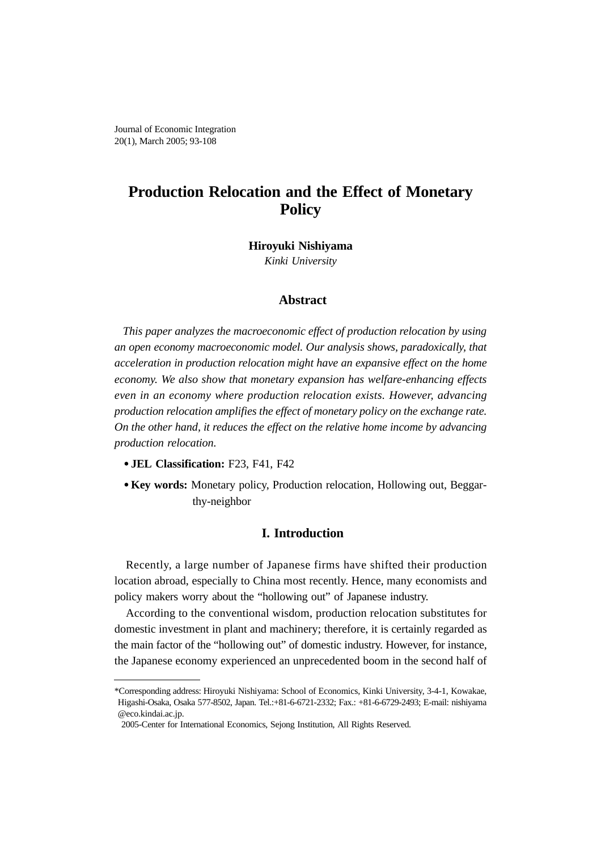Journal of Economic Integration 20(1), March 2005; 93-108

# **Production Relocation and the Effect of Monetary Policy**

### **Hiroyuki Nishiyama**

*Kinki University*

#### **Abstract**

*This paper analyzes the macroeconomic effect of production relocation by using an open economy macroeconomic model. Our analysis shows, paradoxically, that acceleration in production relocation might have an expansive effect on the home economy. We also show that monetary expansion has welfare-enhancing effects even in an economy where production relocation exists. However, advancing production relocation amplifies the effect of monetary policy on the exchange rate. On the other hand, it reduces the effect on the relative home income by advancing production relocation.*

- **JEL Classification:** F23, F41, F42
- **Key words:** Monetary policy, Production relocation, Hollowing out, Beggarthy-neighbor

### **I. Introduction**

Recently, a large number of Japanese firms have shifted their production location abroad, especially to China most recently. Hence, many economists and policy makers worry about the "hollowing out" of Japanese industry.

According to the conventional wisdom, production relocation substitutes for domestic investment in plant and machinery; therefore, it is certainly regarded as the main factor of the "hollowing out" of domestic industry. However, for instance, the Japanese economy experienced an unprecedented boom in the second half of

<sup>\*</sup>Corresponding address: Hiroyuki Nishiyama: School of Economics, Kinki University, 3-4-1, Kowakae, Higashi-Osaka, Osaka 577-8502, Japan. Tel.:+81-6-6721-2332; Fax.: +81-6-6729-2493; E-mail: nishiyama @eco.kindai.ac.jp.

<sup>2005-</sup>Center for International Economics, Sejong Institution, All Rights Reserved.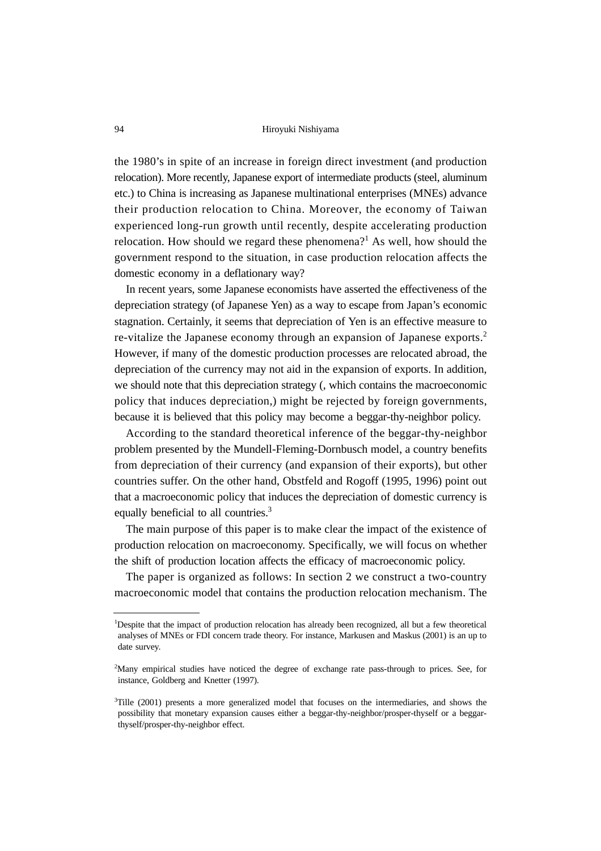the 1980's in spite of an increase in foreign direct investment (and production relocation). More recently, Japanese export of intermediate products (steel, aluminum etc.) to China is increasing as Japanese multinational enterprises (MNEs) advance their production relocation to China. Moreover, the economy of Taiwan experienced long-run growth until recently, despite accelerating production relocation. How should we regard these phenomena?<sup>1</sup> As well, how should the government respond to the situation, in case production relocation affects the domestic economy in a deflationary way?

In recent years, some Japanese economists have asserted the effectiveness of the depreciation strategy (of Japanese Yen) as a way to escape from Japan's economic stagnation. Certainly, it seems that depreciation of Yen is an effective measure to re-vitalize the Japanese economy through an expansion of Japanese exports.<sup>2</sup> However, if many of the domestic production processes are relocated abroad, the depreciation of the currency may not aid in the expansion of exports. In addition, we should note that this depreciation strategy (, which contains the macroeconomic policy that induces depreciation,) might be rejected by foreign governments, because it is believed that this policy may become a beggar-thy-neighbor policy.

According to the standard theoretical inference of the beggar-thy-neighbor problem presented by the Mundell-Fleming-Dornbusch model, a country benefits from depreciation of their currency (and expansion of their exports), but other countries suffer. On the other hand, Obstfeld and Rogoff (1995, 1996) point out that a macroeconomic policy that induces the depreciation of domestic currency is equally beneficial to all countries.<sup>3</sup>

The main purpose of this paper is to make clear the impact of the existence of production relocation on macroeconomy. Specifically, we will focus on whether the shift of production location affects the efficacy of macroeconomic policy.

The paper is organized as follows: In section 2 we construct a two-country macroeconomic model that contains the production relocation mechanism. The

<sup>&</sup>lt;sup>1</sup>Despite that the impact of production relocation has already been recognized, all but a few theoretical analyses of MNEs or FDI concern trade theory. For instance, Markusen and Maskus (2001) is an up to date survey.

<sup>&</sup>lt;sup>2</sup>Many empirical studies have noticed the degree of exchange rate pass-through to prices. See, for instance, Goldberg and Knetter (1997).

<sup>&</sup>lt;sup>3</sup>Tille (2001) presents a more generalized model that focuses on the intermediaries, and shows the possibility that monetary expansion causes either a beggar-thy-neighbor/prosper-thyself or a beggarthyself/prosper-thy-neighbor effect.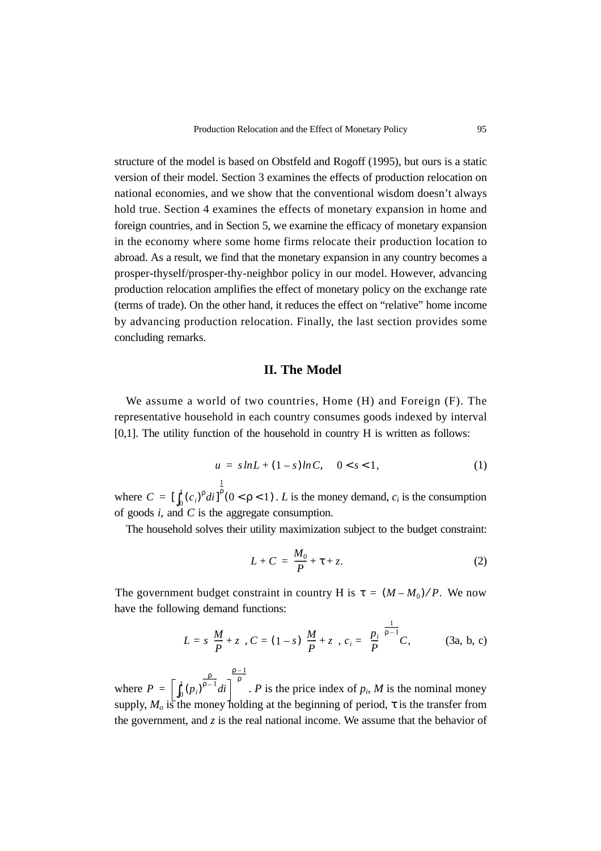structure of the model is based on Obstfeld and Rogoff (1995), but ours is a static version of their model. Section 3 examines the effects of production relocation on national economies, and we show that the conventional wisdom doesn't always hold true. Section 4 examines the effects of monetary expansion in home and foreign countries, and in Section 5, we examine the efficacy of monetary expansion in the economy where some home firms relocate their production location to abroad. As a result, we find that the monetary expansion in any country becomes a prosper-thyself/prosper-thy-neighbor policy in our model. However, advancing production relocation amplifies the effect of monetary policy on the exchange rate (terms of trade). On the other hand, it reduces the effect on "relative" home income by advancing production relocation. Finally, the last section provides some concluding remarks.

#### **II. The Model**

We assume a world of two countries, Home (H) and Foreign (F). The representative household in each country consumes goods indexed by interval  $[0,1]$ . The utility function of the household in country  $H$  is written as follows:

$$
u = shL + (1 - s)lnC, \quad 0 < s < 1,
$$
  
<sup>1</sup>

where  $C = \left[\int_0^1 (c_i)^p dt\right]^p (0 < p < 1)$ . *L* is the money demand,  $c_i$  is the consumption of goods *i*, and *C* is the aggregate consumption. ρ --  $= \left[ \int_0^1 (c_i)^p di \right]^p (0 < p < 1)$ 

The household solves their utility maximization subject to the budget constraint:

$$
L + C = \frac{M_0}{P} + \tau + z. \tag{2}
$$

The government budget constraint in country H is  $\tau = (M - M_0)/P$ . We now have the following demand functions:

$$
L = s\left(\frac{M}{P} + z\right), C = (1 - s)\left(\frac{M}{P} + z\right), c_i = \left(\frac{p_i}{P}\right)^{\frac{1}{p-1}}C, \quad (3a, b, c)
$$

where  $P = \left| \int_0^1 (p_i)^{p-1} di \right|$  . P is the price index of  $p_i$ , M is the nominal money supply,  $M_0$  is the money holding at the beginning of period,  $\tau$  is the transfer from the government, and  $\zeta$  is the real national income. We assume that the behavior of  $\int_0^1 (p_i)^{\frac{\rho}{\rho-1}} di$  $\frac{\rho-1}{\rho}$ =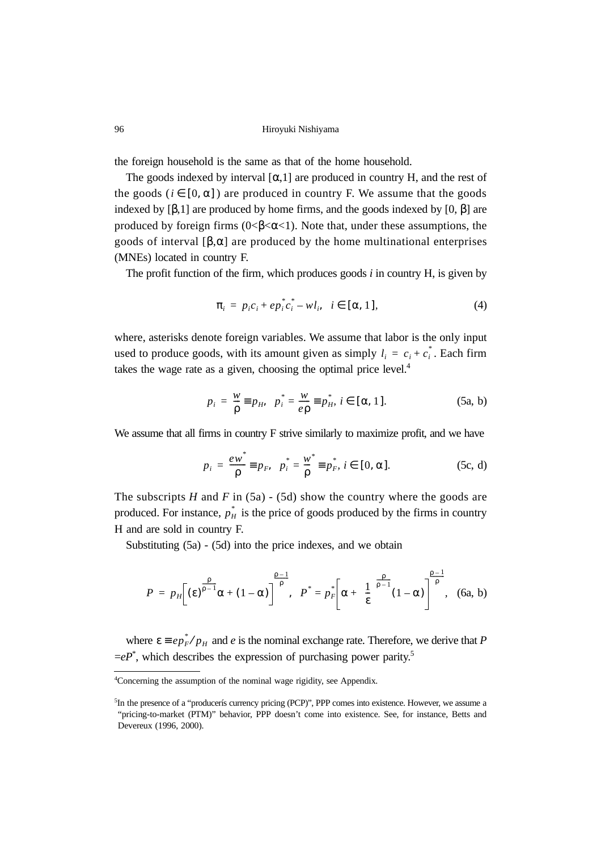the foreign household is the same as that of the home household.

The goods indexed by interval  $[\alpha,1]$  are produced in country H, and the rest of the goods ( $i \in [0, \alpha]$ ) are produced in country F. We assume that the goods indexed by  $[\beta,1]$  are produced by home firms, and the goods indexed by  $[0, \beta]$  are produced by foreign firms ( $0 < \beta < \alpha < 1$ ). Note that, under these assumptions, the goods of interval  $[\beta, \alpha]$  are produced by the home multinational enterprises (MNEs) located in country F.

The profit function of the firm, which produces goods *i* in country H, is given by

$$
\pi_i = p_i c_i + e p_i^* c_i^* - w l_i, \quad i \in [\alpha, 1], \tag{4}
$$

where, asterisks denote foreign variables. We assume that labor is the only input used to produce goods, with its amount given as simply  $l_i = c_i + c_i^*$ . Each firm takes the wage rate as a given, choosing the optimal price level. $4$ 

$$
p_i = \frac{w}{\rho} \equiv p_H, \ \ p_i^* = \frac{w}{e\rho} \equiv p_H^*, \ i \in [\alpha, 1].
$$
 (5a, b)

We assume that all firms in country F strive similarly to maximize profit, and we have

$$
p_i = \frac{ew^*}{\rho} \equiv p_F, \ \ p_i^* = \frac{w^*}{\rho} \equiv p_F^*, \ i \in [0, \alpha]. \tag{5c, d}
$$

The subscripts  $H$  and  $F$  in (5a) - (5d) show the country where the goods are produced. For instance,  $p_{H}^{*}$  is the price of goods produced by the firms in country H and are sold in country F.

Substituting (5a) - (5d) into the price indexes, and we obtain

$$
P = p_H\left[\left(\varepsilon\right)^{\frac{\rho}{\rho-1}}\alpha + (1-\alpha)\right]^{\frac{\rho-1}{\rho}}, \quad P^* = p_F^*\left[\alpha + \left(\frac{1}{\varepsilon}\right)^{\frac{\rho}{\rho-1}}(1-\alpha)\right]^{\frac{\rho-1}{\rho}}, \quad \text{(6a, b)}
$$

where  $\varepsilon = e p_F^* / p_H$  and *e* is the nominal exchange rate. Therefore, we derive that *P*  $=eP^*$ , which describes the expression of purchasing power parity.<sup>5</sup>

<sup>4</sup> Concerning the assumption of the nominal wage rigidity, see Appendix.

<sup>&</sup>lt;sup>5</sup>In the presence of a "producerís currency pricing (PCP)", PPP comes into existence. However, we assume a "pricing-to-market (PTM)" behavior, PPP doesn't come into existence. See, for instance, Betts and Devereux (1996, 2000).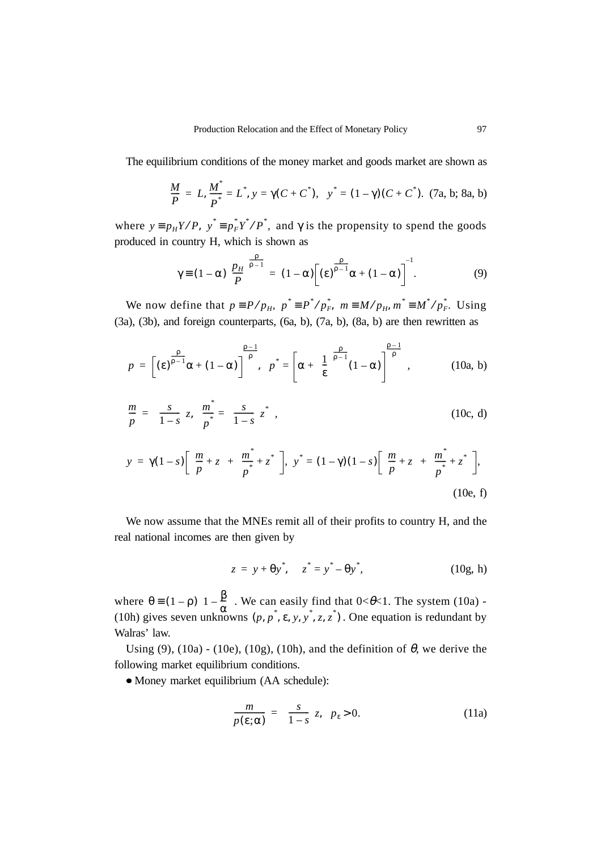The equilibrium conditions of the money market and goods market are shown as

$$
\frac{M}{P} = L, \frac{M^*}{P^*} = L^*, y = \gamma(C + C^*), y^* = (1 - \gamma)(C + C^*). (7a, b; 8a, b)
$$

where  $y \equiv p_H Y/P$ ,  $y^* \equiv p_F^* Y^* / P^*$ , and  $\gamma$  is the propensity to spend the goods produced in country H, which is shown as

$$
\gamma \equiv (1 - \alpha) \left(\frac{p_H}{P}\right)^{\frac{p}{p-1}} = (1 - \alpha) \left[ (\epsilon)^{\frac{p}{p-1}} \alpha + (1 - \alpha) \right]^{-1}.
$$
 (9)

We now define that  $p = P/p_H$ ,  $p^* = P^* / p_F^*$ ,  $m = M/p_H$ ,  $m^* = M^* / p_F^*$ . Using (3a), (3b), and foreign counterparts, (6a, b), (7a, b), (8a, b) are then rewritten as

$$
p = \left[ \left( \epsilon \right)^{\frac{\rho}{\rho - 1}} \alpha + (1 - \alpha) \right]^{\frac{\rho - 1}{\rho}}, \quad p^* = \left[ \alpha + \left( \frac{1}{\epsilon} \right)^{\frac{\rho}{\rho - 1}} (1 - \alpha) \right]^{\frac{\rho - 1}{\rho}}, \quad (10a, b)
$$

$$
\frac{m}{p} = \left(\frac{s}{1-s}\right)z, \quad \frac{m^*}{p^*} = \left(\frac{s}{1-s}\right)z^*,
$$
\n(10c, d)

$$
y = \gamma (1 - s) \left[ \left( \frac{m}{p} + z \right) + \left( \frac{m^*}{p^*} + z^* \right) \right], \quad y^* = (1 - \gamma)(1 - s) \left[ \left( \frac{m}{p} + z \right) + \left( \frac{m^*}{p^*} + z^* \right) \right],
$$
\n(10e, f)

We now assume that the MNEs remit all of their profits to country H, and the real national incomes are then given by

$$
z = y + \theta y^*, \quad z^* = y^* - \theta y^*,
$$
 (10g, h)

where  $\theta = (1 - \rho) [1 - \frac{p}{n}]$ . We can easily find that  $0 < \theta < 1$ . The system (10a) -(10h) gives seven unknowns  $(p, p^*, \varepsilon, y, y^*, z, z^*)$ . One equation is redundant by Walras' law.  $\theta \equiv (1 - \rho) \left( 1 - \frac{\beta}{\alpha} \right)$ *p*, *p*<sup>\*</sup>, ε, *y*, *y*<sup>\*</sup>, *z*, *z*<sup>\*</sup>)

Using (9), (10a) - (10e), (10g), (10h), and the definition of  $\theta$ , we derive the following market equilibrium conditions.

Money market equilibrium (AA schedule):

$$
\frac{m}{p(\varepsilon;\alpha)} = \left(\frac{s}{1-s}\right)z, \quad p_{\varepsilon} > 0. \tag{11a}
$$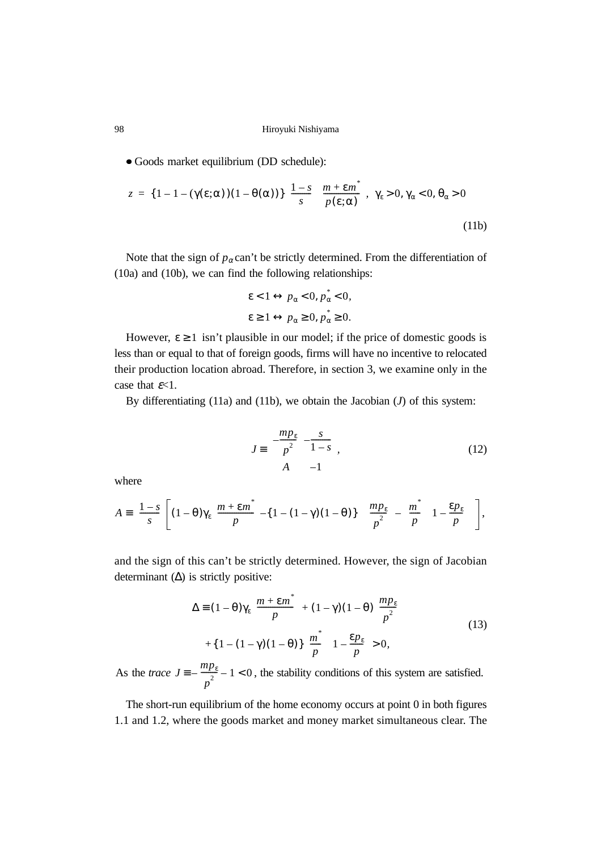Goods market equilibrium (DD schedule):

$$
z = \{1 - 1 - (\gamma(\varepsilon; \alpha))(1 - \theta(\alpha))\} \left(\frac{1 - s}{s}\right) \left(\frac{m + \varepsilon m^*}{p(\varepsilon; \alpha)}\right), \ \gamma_{\varepsilon} > 0, \gamma_{\alpha} < 0, \theta_{\alpha} > 0
$$
\n(11b)

Note that the sign of  $p_\alpha$  can't be strictly determined. From the differentiation of (10a) and (10b), we can find the following relationships:

$$
\begin{cases} \varepsilon < 1 \leftrightarrow p_{\alpha} < 0, \, p_{\alpha}^* < 0, \\ \varepsilon \geq 1 < p_{\alpha} \geq 0, \, p_{\alpha}^* \geq 0. \end{cases}
$$

However,  $\epsilon \geq 1$  isn't plausible in our model; if the price of domestic goods is less than or equal to that of foreign goods, firms will have no incentive to relocated their production location abroad. Therefore, in section 3, we examine only in the case that  $\varepsilon$ <1.

By differentiating (11a) and (11b), we obtain the Jacobian (*J*) of this system:

$$
J \equiv \begin{pmatrix} -\frac{mp_{\varepsilon}}{p^2} & -\frac{s}{1-s} \\ A & -1 \end{pmatrix},\tag{12}
$$

where

$$
A = \left(\frac{1-s}{s}\right) \left[ (1-\theta)\gamma_{\varepsilon}\left(\frac{m+\varepsilon m^*}{p}\right) - \left\{ (1-(1-\gamma)(1-\theta)) \right\} \left\{ \left(\frac{mp_{\varepsilon}}{p^2}\right) - \left(\frac{m^*}{p}\right)\left(1-\frac{\varepsilon p_{\varepsilon}}{p}\right) \right\} \right],
$$

and the sign of this can't be strictly determined. However, the sign of Jacobian determinant  $(∆)$  is strictly positive:

$$
\Delta = (1 - \theta)\gamma_{\varepsilon} \left( \frac{m + \varepsilon m^*}{p} \right) + (1 - \gamma)(1 - \theta) \left( \frac{mp_{\varepsilon}}{p^2} \right)
$$
  
+ 
$$
\{1 - (1 - \gamma)(1 - \theta)\} \left( \frac{m^*}{p} \right) \left(1 - \frac{\varepsilon p_{\varepsilon}}{p} \right) > 0,
$$
 (13)

As the *trace*  $J = -\frac{mp_{\varepsilon}}{2} - 1 < 0$ , the stability conditions of this system are satisfied.  $\equiv -\frac{mp_{\varepsilon}}{p^2} - 1 < 0$ 

The short-run equilibrium of the home economy occurs at point 0 in both figures 1.1 and 1.2, where the goods market and money market simultaneous clear. The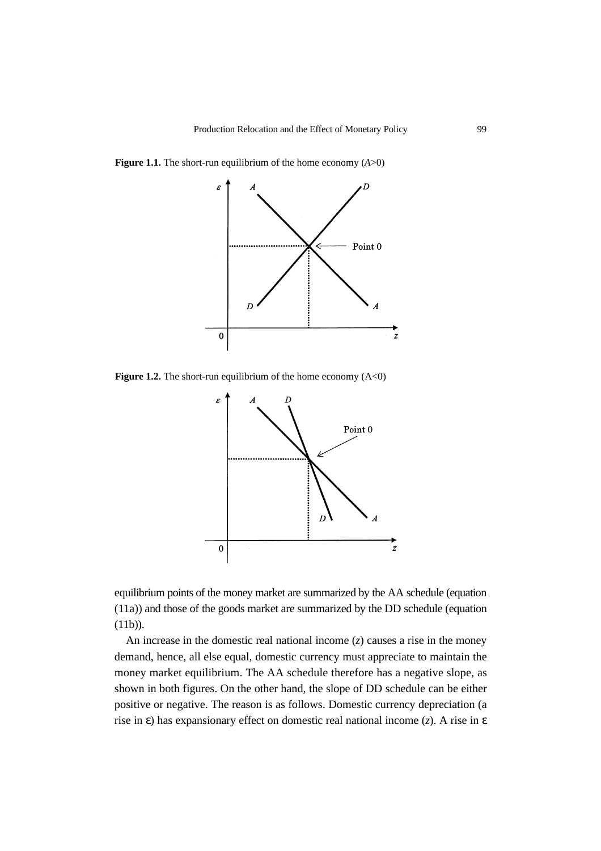

**Figure 1.1.** The short-run equilibrium of the home economy  $(A>0)$ 

**Figure 1.2.** The short-run equilibrium of the home economy  $(A<0)$ 



equilibrium points of the money market are summarized by the AA schedule (equation (11a)) and those of the goods market are summarized by the DD schedule (equation  $(11b)$ ).

An increase in the domestic real national income (*z*) causes a rise in the money demand, hence, all else equal, domestic currency must appreciate to maintain the money market equilibrium. The AA schedule therefore has a negative slope, as shown in both figures. On the other hand, the slope of DD schedule can be either positive or negative. The reason is as follows. Domestic currency depreciation (a rise in ε) has expansionary effect on domestic real national income (*z*). A rise in ε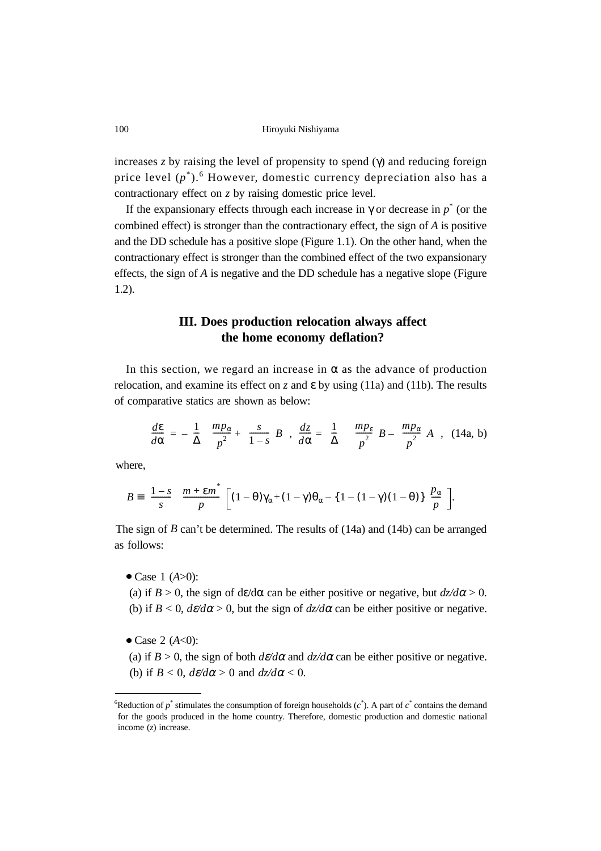increases *z* by raising the level of propensity to spend (γ) and reducing foreign price level  $(p^*)$ .<sup>6</sup> However, domestic currency depreciation also has a contractionary effect on *z* by raising domestic price level.

If the expansionary effects through each increase in  $\gamma$  or decrease in  $p^*$  (or the combined effect) is stronger than the contractionary effect, the sign of *A* is positive and the DD schedule has a positive slope (Figure 1.1). On the other hand, when the contractionary effect is stronger than the combined effect of the two expansionary effects, the sign of *A* is negative and the DD schedule has a negative slope (Figure 1.2).

## **III. Does production relocation always affect the home economy deflation?**

In this section, we regard an increase in  $\alpha$  as the advance of production relocation, and examine its effect on *z* and ε by using (11a) and (11b). The results of comparative statics are shown as below:

$$
\frac{d\epsilon}{d\alpha} = -\left(\frac{1}{\Delta}\right) \left\{ \frac{mp_{\alpha}}{p^2} + \left(\frac{s}{1-s}\right)B \right\}, \frac{dz}{d\alpha} = \left(\frac{1}{\Delta}\right) \left\{ \left(\frac{mp_{\epsilon}}{p^2}\right)B - \left(\frac{mp_{\alpha}}{p^2}\right)A \right\}, (14a, b)
$$

where,

$$
B = \left(\frac{1-s}{s}\right) \left(\frac{m+\epsilon m^*}{p}\right) \left[(1-\theta)\gamma_\alpha + (1-\gamma)\theta_\alpha - \{1-(1-\gamma)(1-\theta)\}\left(\frac{p_\alpha}{p}\right)\right].
$$

The sign of *B* can't be determined. The results of (14a) and (14b) can be arranged as follows:

Case 1 (*A*>0):

(a) if  $B > 0$ , the sign of dε/dα can be either positive or negative, but  $\frac{dz}{d\alpha} > 0$ . (b) if  $B < 0$ ,  $d\varepsilon/d\alpha > 0$ , but the sign of  $dz/d\alpha$  can be either positive or negative.

- $\bullet$  Case 2 (*A*<0):
- (a) if  $B > 0$ , the sign of both  $d\varepsilon/d\alpha$  and  $d\overline{z}/d\alpha$  can be either positive or negative. (b) if  $B < 0$ ,  $d\epsilon/d\alpha > 0$  and  $d\epsilon/d\alpha < 0$ .

<sup>&</sup>lt;sup>6</sup>Reduction of  $p^*$  stimulates the consumption of foreign households  $(c^*)$ . A part of  $c^*$  contains the demand for the goods produced in the home country. Therefore, domestic production and domestic national income (*z*) increase.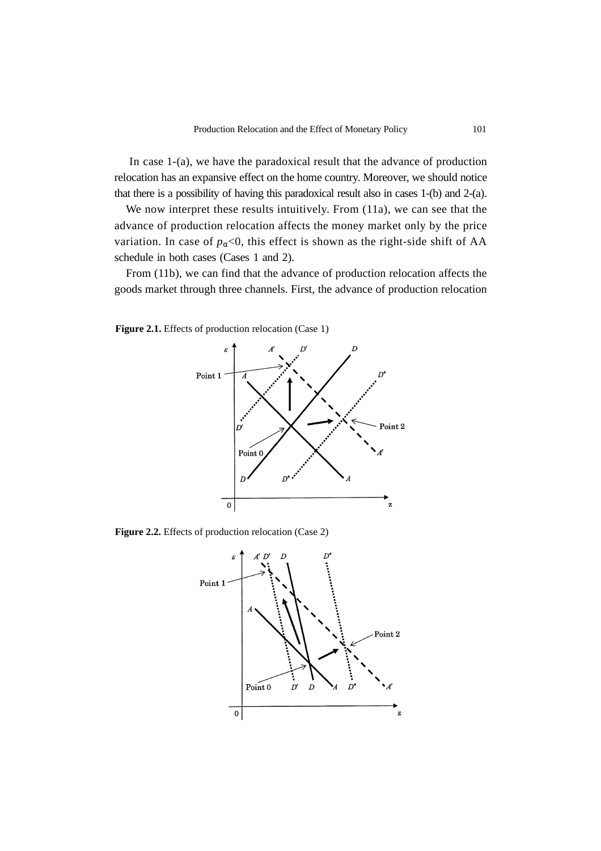In case 1-(a), we have the paradoxical result that the advance of production relocation has an expansive effect on the home country. Moreover, we should notice that there is a possibility of having this paradoxical result also in cases 1-(b) and 2-(a).

We now interpret these results intuitively. From (11a), we can see that the advance of production relocation affects the money market only by the price variation. In case of  $p_{\alpha}$ <0, this effect is shown as the right-side shift of AA schedule in both cases (Cases 1 and 2).

From (11b), we can find that the advance of production relocation affects the goods market through three channels. First, the advance of production relocation

Figure 2.1. Effects of production relocation (Case 1)



**Figure 2.2.** Effects of production relocation (Case 2)

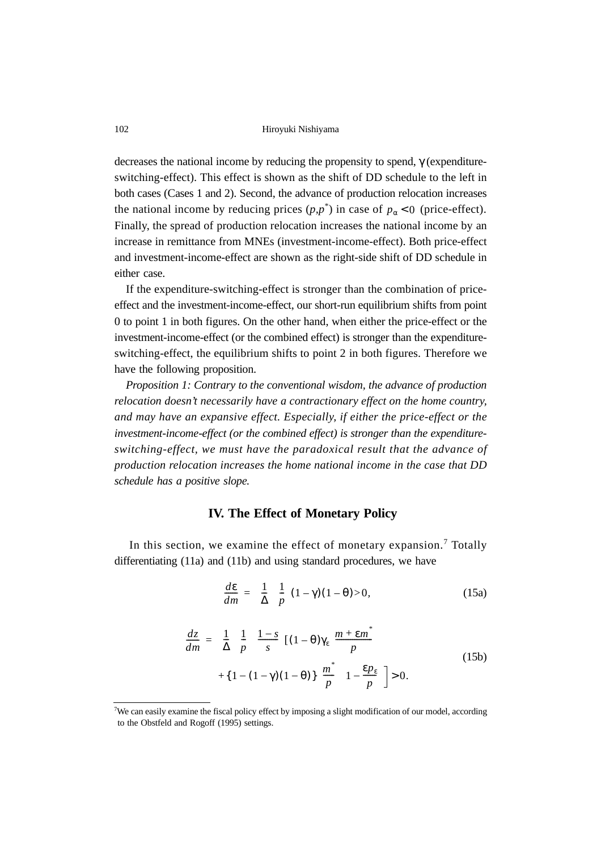decreases the national income by reducing the propensity to spend, γ (expenditureswitching-effect). This effect is shown as the shift of DD schedule to the left in both cases (Cases 1 and 2). Second, the advance of production relocation increases the national income by reducing prices  $(p, p^*)$  in case of  $p_\alpha < 0$  (price-effect). Finally, the spread of production relocation increases the national income by an increase in remittance from MNEs (investment-income-effect). Both price-effect and investment-income-effect are shown as the right-side shift of DD schedule in either case.

If the expenditure-switching-effect is stronger than the combination of priceeffect and the investment-income-effect, our short-run equilibrium shifts from point 0 to point 1 in both figures. On the other hand, when either the price-effect or the investment-income-effect (or the combined effect) is stronger than the expenditureswitching-effect, the equilibrium shifts to point 2 in both figures. Therefore we have the following proposition.

*Proposition 1: Contrary to the conventional wisdom, the advance of production relocation doesn't necessarily have a contractionary effect on the home country, and may have an expansive effect. Especially, if either the price-effect or the investment-income-effect (or the combined effect) is stronger than the expenditureswitching-effect, we must have the paradoxical result that the advance of production relocation increases the home national income in the case that DD schedule has a positive slope.*

### **IV. The Effect of Monetary Policy**

In this section, we examine the effect of monetary expansion.<sup>7</sup> Totally differentiating (11a) and (11b) and using standard procedures, we have

$$
\frac{d\varepsilon}{dm} = \left(\frac{1}{\Delta}\right)\left(\frac{1}{p}\right)(1-\gamma)(1-\theta) > 0,\tag{15a}
$$

$$
\frac{dz}{dm} = \left(\frac{1}{\Delta}\right)\left(\frac{1}{p}\right)\left(\frac{1-s}{s}\right)\left[(1-\theta)\gamma_{\epsilon}\left(\frac{m+\epsilon m^*}{p}\right)\n+ \left\{1-(1-\gamma)(1-\theta)\right\}\left(\frac{m^*}{p}\right)\left(1-\frac{\epsilon p_{\epsilon}}{p}\right)\n\right] > 0.
$$
\n(15b)

<sup>&</sup>lt;sup>7</sup>We can easily examine the fiscal policy effect by imposing a slight modification of our model, according to the Obstfeld and Rogoff (1995) settings.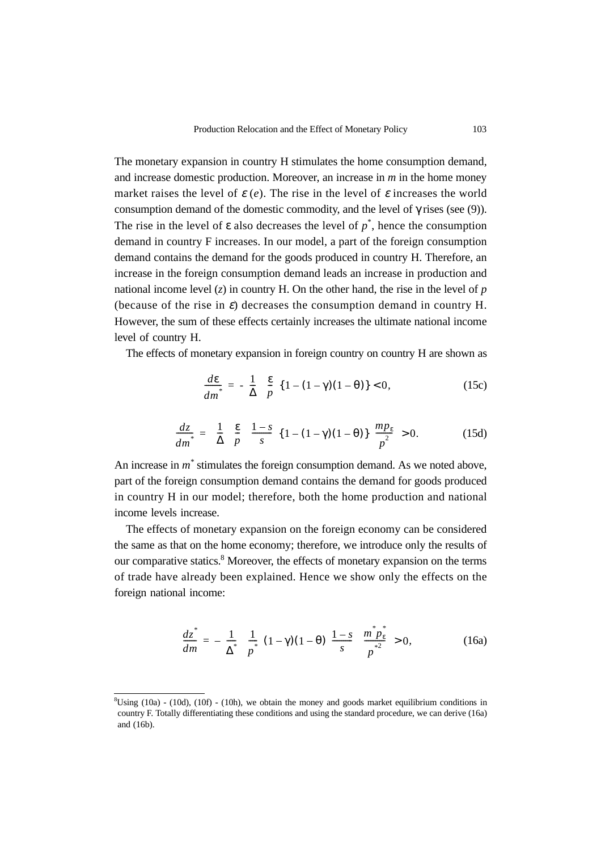The monetary expansion in country H stimulates the home consumption demand, and increase domestic production. Moreover, an increase in *m* in the home money market raises the level of  $\varepsilon$  (*e*). The rise in the level of  $\varepsilon$  increases the world consumption demand of the domestic commodity, and the level of  $\gamma$  rises (see (9)). The rise in the level of  $\varepsilon$  also decreases the level of  $p^*$ , hence the consumption demand in country F increases. In our model, a part of the foreign consumption demand contains the demand for the goods produced in country H. Therefore, an increase in the foreign consumption demand leads an increase in production and national income level  $(z)$  in country H. On the other hand, the rise in the level of  $p$ (because of the rise in  $\varepsilon$ ) decreases the consumption demand in country H. However, the sum of these effects certainly increases the ultimate national income level of country H.

The effects of monetary expansion in foreign country on country H are shown as

$$
\frac{d\varepsilon}{dm^*} = -\left(\frac{1}{\Delta}\right)\left(\frac{\varepsilon}{p}\right)\{1 - (1 - \gamma)(1 - \theta)\} < 0,\tag{15c}
$$

$$
\frac{dz}{dm^*} = \left(\frac{1}{\Delta}\right)\left(\frac{\epsilon}{p}\right)\left(\frac{1-s}{s}\right)\left\{1 - (1-\gamma)(1-\theta)\right\}\left(\frac{mp_\epsilon}{p^2}\right) > 0. \tag{15d}
$$

An increase in  $m^*$  stimulates the foreign consumption demand. As we noted above, part of the foreign consumption demand contains the demand for goods produced in country H in our model; therefore, both the home production and national income levels increase.

The effects of monetary expansion on the foreign economy can be considered the same as that on the home economy; therefore, we introduce only the results of our comparative statics.<sup>8</sup> Moreover, the effects of monetary expansion on the terms of trade have already been explained. Hence we show only the effects on the foreign national income:

$$
\frac{dz^*}{dm} = -\left(\frac{1}{\Delta^*}\right)\left(\frac{1}{p^*}\right)(1-\gamma)(1-\theta)\left(\frac{1-s}{s}\right)\left(\frac{m^*p_{\varepsilon}^*}{p^*}\right) > 0,\tag{16a}
$$

 $8$ Using (10a) - (10d), (10f) - (10h), we obtain the money and goods market equilibrium conditions in country F. Totally differentiating these conditions and using the standard procedure, we can derive (16a) and (16b).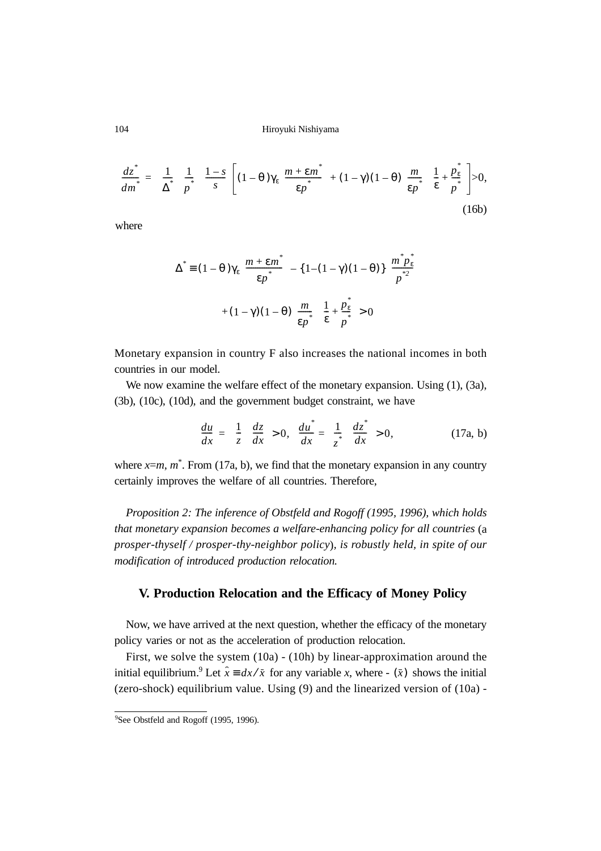$$
\frac{dz^*}{dm^*} = \left(\frac{1}{\Delta^*}\right)\left(\frac{1}{p^*}\right)\left(\frac{1-s}{s}\right)\left[(1-\theta)\gamma_{\varepsilon}\left(\frac{m+\varepsilon m^*}{\varepsilon p^*}\right) + (1-\gamma)(1-\theta)\left(\frac{m}{\varepsilon p^*}\right)\left(\frac{1}{\varepsilon} + \frac{p_{\varepsilon}^*}{p^*}\right)\right] > 0,\tag{16b}
$$

where

$$
\Delta^* = (1 - \theta) \gamma_{\varepsilon} \left( \frac{m + \varepsilon m^*}{\varepsilon p^*} \right) - \{1 - (1 - \gamma)(1 - \theta)\} \left( \frac{m^* p_{\varepsilon}^*}{p^{*2}} \right) + (1 - \gamma)(1 - \theta) \left( \frac{m}{\varepsilon p^*} \right) \left( \frac{1}{\varepsilon} + \frac{p_{\varepsilon}^*}{p^*} \right) > 0
$$

Monetary expansion in country F also increases the national incomes in both countries in our model.

We now examine the welfare effect of the monetary expansion. Using (1), (3a), (3b), (10c), (10d), and the government budget constraint, we have

$$
\frac{du}{dx} = \left(\frac{1}{z}\right)\left(\frac{dz}{dx}\right) > 0, \quad \frac{du^*}{dx} = \left(\frac{1}{z^*}\right)\left(\frac{dz^*}{dx}\right) > 0,\tag{17a, b}
$$

where  $x=m$ ,  $m^*$ . From (17a, b), we find that the monetary expansion in any country certainly improves the welfare of all countries. Therefore,

*Proposition 2: The inference of Obstfeld and Rogoff (1995, 1996), which holds that monetary expansion becomes a welfare-enhancing policy for all countries* (a *prosper-thyself / prosper-thy-neighbor policy*)*, is robustly held, in spite of our modification of introduced production relocation.*

### **V. Production Relocation and the Efficacy of Money Policy**

Now, we have arrived at the next question, whether the efficacy of the monetary policy varies or not as the acceleration of production relocation.

First, we solve the system (10a) - (10h) by linear-approximation around the initial equilibrium.<sup>9</sup> Let  $\hat{x} = dx/\bar{x}$  for any variable *x*, where -  $(\bar{x})$  shows the initial (zero-shock) equilibrium value. Using (9) and the linearized version of (10a) -

<sup>&</sup>lt;sup>9</sup>See Obstfeld and Rogoff (1995, 1996).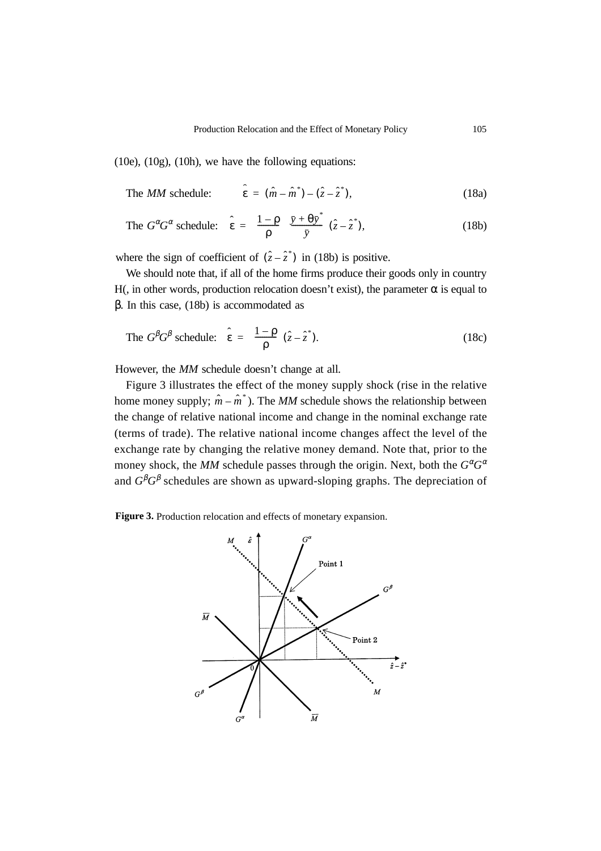(10e), (10g), (10h), we have the following equations:

The *MM* schedule: 
$$
\hat{\varepsilon} = (\hat{m} - \hat{m}^*) - (\hat{z} - \hat{z}^*),
$$
 (18a)

The 
$$
G^{\alpha}G^{\alpha}
$$
 schedule:  $\hat{\epsilon} = \left(\frac{1-\rho}{\rho}\right)\left(\frac{\bar{y}+\theta\bar{y}^*}{\bar{y}}\right)(\hat{z}-\hat{z}^*),$  (18b)

where the sign of coefficient of  $(\hat{z} - \hat{z}^*)$  in (18b) is positive.

We should note that, if all of the home firms produce their goods only in country H(, in other words, production relocation doesn't exist), the parameter  $\alpha$  is equal to β. In this case, (18b) is accommodated as

The 
$$
G^{\beta}G^{\beta}
$$
 schedule:  $\hat{\epsilon} = \left(\frac{1-\rho}{\rho}\right)(\hat{z}-\hat{z}^*).$  (18c)

However, the *MM* schedule doesn't change at all.

Figure 3 illustrates the effect of the money supply shock (rise in the relative home money supply;  $\hat{m} - \hat{m}^*$ ). The *MM* schedule shows the relationship between the change of relative national income and change in the nominal exchange rate (terms of trade). The relative national income changes affect the level of the exchange rate by changing the relative money demand. Note that, prior to the money shock, the *MM* schedule passes through the origin. Next, both the  $G^{\alpha}G^{\alpha}$ and  $G^{\beta}G^{\beta}$  schedules are shown as upward-sloping graphs. The depreciation of

**Figure 3.** Production relocation and effects of monetary expansion.

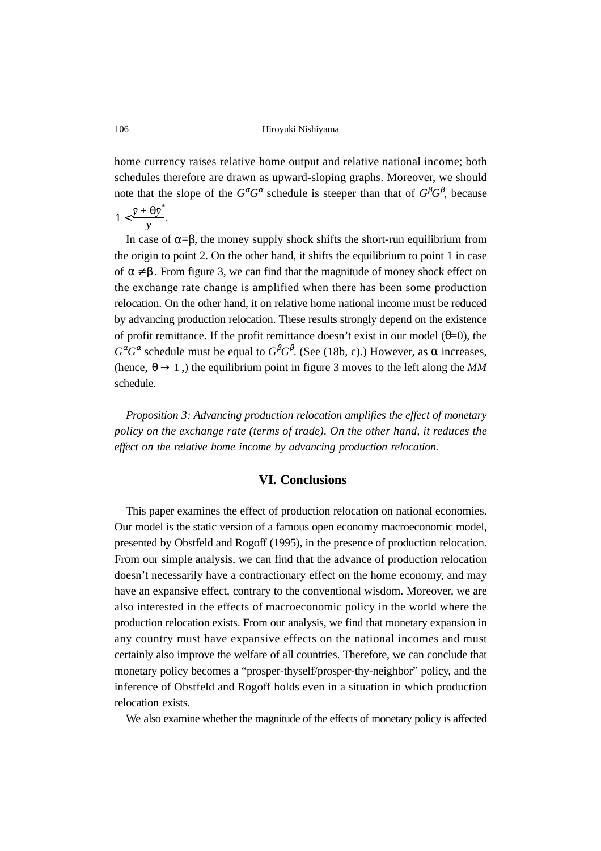home currency raises relative home output and relative national income; both schedules therefore are drawn as upward-sloping graphs. Moreover, we should note that the slope of the  $G^{\alpha}G^{\alpha}$  schedule is steeper than that of  $G^{\beta}G^{\beta}$ , because

$$
1 < \frac{\bar{y} + \theta \bar{y}^*}{\bar{y}}.
$$

In case of  $\alpha = \beta$ , the money supply shock shifts the short-run equilibrium from the origin to point 2. On the other hand, it shifts the equilibrium to point 1 in case of  $\alpha \neq \beta$ . From figure 3, we can find that the magnitude of money shock effect on the exchange rate change is amplified when there has been some production relocation. On the other hand, it on relative home national income must be reduced by advancing production relocation. These results strongly depend on the existence of profit remittance. If the profit remittance doesn't exist in our model  $(\theta=0)$ , the  $G^{\alpha}G^{\alpha}$  schedule must be equal to  $G^{\beta}G^{\beta}$ . (See (18b, c).) However, as  $\alpha$  increases, (hence,  $\theta \rightarrow 1$ ,) the equilibrium point in figure 3 moves to the left along the *MM* schedule.

*Proposition 3: Advancing production relocation amplifies the effect of monetary policy on the exchange rate (terms of trade). On the other hand, it reduces the effect on the relative home income by advancing production relocation.*

#### **VI. Conclusions**

This paper examines the effect of production relocation on national economies. Our model is the static version of a famous open economy macroeconomic model, presented by Obstfeld and Rogoff (1995), in the presence of production relocation. From our simple analysis, we can find that the advance of production relocation doesn't necessarily have a contractionary effect on the home economy, and may have an expansive effect, contrary to the conventional wisdom. Moreover, we are also interested in the effects of macroeconomic policy in the world where the production relocation exists. From our analysis, we find that monetary expansion in any country must have expansive effects on the national incomes and must certainly also improve the welfare of all countries. Therefore, we can conclude that monetary policy becomes a "prosper-thyself/prosper-thy-neighbor" policy, and the inference of Obstfeld and Rogoff holds even in a situation in which production relocation exists.

We also examine whether the magnitude of the effects of monetary policy is affected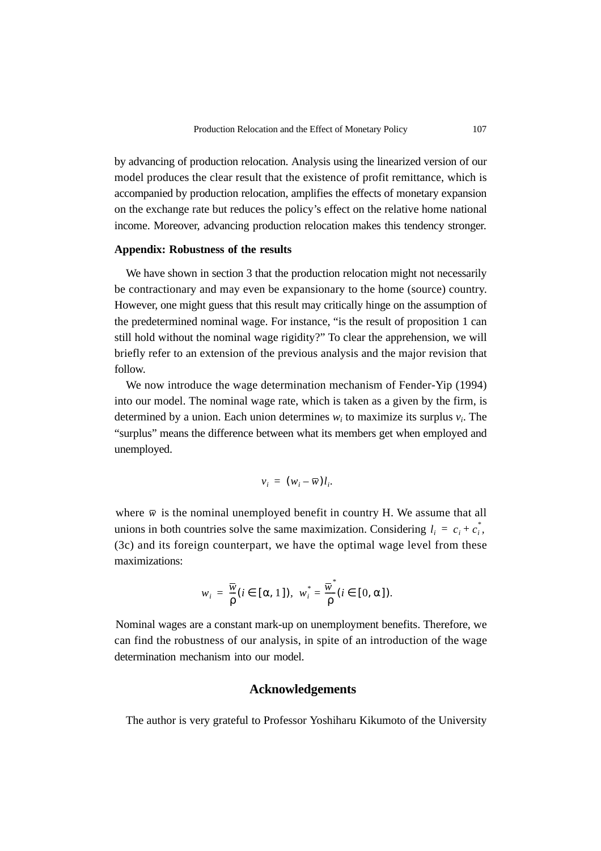by advancing of production relocation. Analysis using the linearized version of our model produces the clear result that the existence of profit remittance, which is accompanied by production relocation, amplifies the effects of monetary expansion on the exchange rate but reduces the policy's effect on the relative home national income. Moreover, advancing production relocation makes this tendency stronger.

#### **Appendix: Robustness of the results**

We have shown in section 3 that the production relocation might not necessarily be contractionary and may even be expansionary to the home (source) country. However, one might guess that this result may critically hinge on the assumption of the predetermined nominal wage. For instance, "is the result of proposition 1 can still hold without the nominal wage rigidity?" To clear the apprehension, we will briefly refer to an extension of the previous analysis and the major revision that follow.

We now introduce the wage determination mechanism of Fender-Yip (1994) into our model. The nominal wage rate, which is taken as a given by the firm, is determined by a union. Each union determines  $w_i$  to maximize its surplus  $v_i$ . The "surplus" means the difference between what its members get when employed and unemployed.

$$
v_i = (w_i - \overline{w}) l_i.
$$

where  $\bar{w}$  is the nominal unemployed benefit in country H. We assume that all unions in both countries solve the same maximization. Considering  $l_i = c_i + c_i^*$ , (3c) and its foreign counterpart, we have the optimal wage level from these maximizations:

$$
w_i = \frac{\overline{w}}{\rho} (i \in [\alpha, 1]), \ w_i^* = \frac{\overline{w}}{\rho} (i \in [0, \alpha]).
$$

Nominal wages are a constant mark-up on unemployment benefits. Therefore, we can find the robustness of our analysis, in spite of an introduction of the wage determination mechanism into our model.

### **Acknowledgements**

The author is very grateful to Professor Yoshiharu Kikumoto of the University